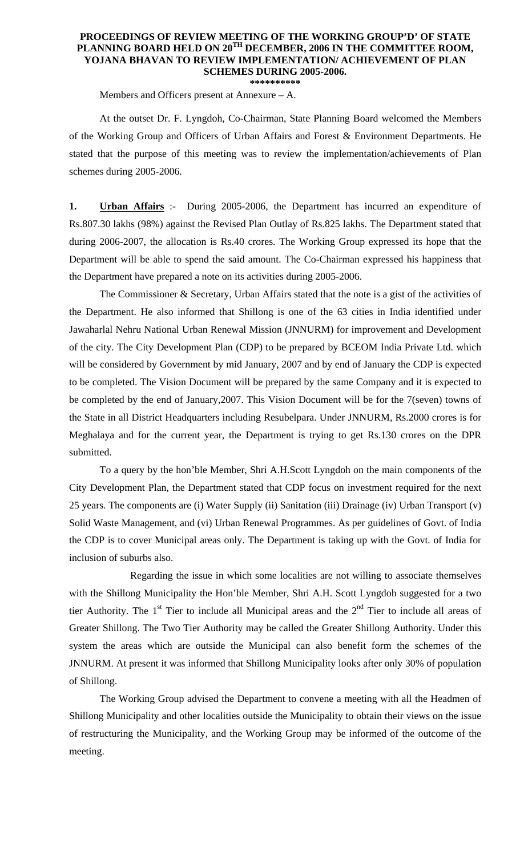## **PROCEEDINGS OF REVIEW MEETING OF THE WORKING GROUP'D' OF STATE PLANNING BOARD HELD ON 20TH DECEMBER, 2006 IN THE COMMITTEE ROOM, YOJANA BHAVAN TO REVIEW IMPLEMENTATION/ ACHIEVEMENT OF PLAN SCHEMES DURING 2005-2006.**

**\*\*\*\*\*\*\*\*\*\*** 

Members and Officers present at Annexure – A.

 At the outset Dr. F. Lyngdoh, Co-Chairman, State Planning Board welcomed the Members of the Working Group and Officers of Urban Affairs and Forest & Environment Departments. He stated that the purpose of this meeting was to review the implementation/achievements of Plan schemes during 2005-2006.

**1. Urban Affairs** :- During 2005-2006, the Department has incurred an expenditure of Rs.807.30 lakhs (98%) against the Revised Plan Outlay of Rs.825 lakhs. The Department stated that during 2006-2007, the allocation is Rs.40 crores. The Working Group expressed its hope that the Department will be able to spend the said amount. The Co-Chairman expressed his happiness that the Department have prepared a note on its activities during 2005-2006.

 The Commissioner & Secretary, Urban Affairs stated that the note is a gist of the activities of the Department. He also informed that Shillong is one of the 63 cities in India identified under Jawaharlal Nehru National Urban Renewal Mission (JNNURM) for improvement and Development of the city. The City Development Plan (CDP) to be prepared by BCEOM India Private Ltd. which will be considered by Government by mid January, 2007 and by end of January the CDP is expected to be completed. The Vision Document will be prepared by the same Company and it is expected to be completed by the end of January,2007. This Vision Document will be for the 7(seven) towns of the State in all District Headquarters including Resubelpara. Under JNNURM, Rs.2000 crores is for Meghalaya and for the current year, the Department is trying to get Rs.130 crores on the DPR submitted.

 To a query by the hon'ble Member, Shri A.H.Scott Lyngdoh on the main components of the City Development Plan, the Department stated that CDP focus on investment required for the next 25 years. The components are (i) Water Supply (ii) Sanitation (iii) Drainage (iv) Urban Transport (v) Solid Waste Management, and (vi) Urban Renewal Programmes. As per guidelines of Govt. of India the CDP is to cover Municipal areas only. The Department is taking up with the Govt. of India for inclusion of suburbs also.

 Regarding the issue in which some localities are not willing to associate themselves with the Shillong Municipality the Hon'ble Member, Shri A.H. Scott Lyngdoh suggested for a two tier Authority. The  $1<sup>st</sup>$  Tier to include all Municipal areas and the  $2<sup>nd</sup>$  Tier to include all areas of Greater Shillong. The Two Tier Authority may be called the Greater Shillong Authority. Under this system the areas which are outside the Municipal can also benefit form the schemes of the JNNURM. At present it was informed that Shillong Municipality looks after only 30% of population of Shillong.

 The Working Group advised the Department to convene a meeting with all the Headmen of Shillong Municipality and other localities outside the Municipality to obtain their views on the issue of restructuring the Municipality, and the Working Group may be informed of the outcome of the meeting.